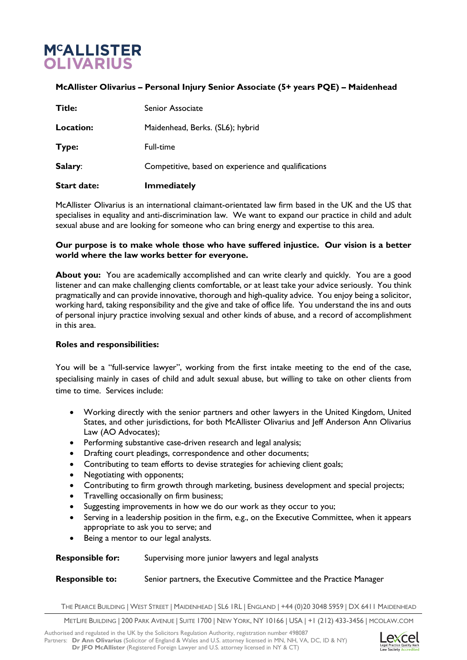# **M<sup>C</sup>ALLISTER OLIVARIUS**

## **McAllister Olivarius – Personal Injury Senior Associate (5+ years PQE) – Maidenhead**

| <b>Start date:</b> | Immediatelv                                         |
|--------------------|-----------------------------------------------------|
| Salary:            | Competitive, based on experience and qualifications |
| Type:              | Full-time                                           |
| Location:          | Maidenhead, Berks. (SL6); hybrid                    |
| Title:             | Senior Associate                                    |

McAllister Olivarius is an international claimant-orientated law firm based in the UK and the US that specialises in equality and anti-discrimination law. We want to expand our practice in child and adult sexual abuse and are looking for someone who can bring energy and expertise to this area.

#### **Our purpose is to make whole those who have suffered injustice. Our vision is a better world where the law works better for everyone.**

**About you:** You are academically accomplished and can write clearly and quickly. You are a good listener and can make challenging clients comfortable, or at least take your advice seriously. You think pragmatically and can provide innovative, thorough and high-quality advice. You enjoy being a solicitor, working hard, taking responsibility and the give and take of office life. You understand the ins and outs of personal injury practice involving sexual and other kinds of abuse, and a record of accomplishment in this area.

### **Roles and responsibilities:**

You will be a "full-service lawyer", working from the first intake meeting to the end of the case, specialising mainly in cases of child and adult sexual abuse, but willing to take on other clients from time to time. Services include:

- Working directly with the senior partners and other lawyers in the United Kingdom, United States, and other jurisdictions, for both McAllister Olivarius and Jeff Anderson Ann Olivarius Law (AO Advocates);
- Performing substantive case-driven research and legal analysis;
- Drafting court pleadings, correspondence and other documents;
- Contributing to team efforts to devise strategies for achieving client goals;
- Negotiating with opponents;
- Contributing to firm growth through marketing, business development and special projects;
- Travelling occasionally on firm business;
- Suggesting improvements in how we do our work as they occur to you;
- Serving in a leadership position in the firm, e.g., on the Executive Committee, when it appears appropriate to ask you to serve; and
- Being a mentor to our legal analysts.

### **Responsible for:** Supervising more junior lawyers and legal analysts

### **Responsible to:** Senior partners, the Executive Committee and the Practice Manager

THE PEARCE BUILDING | WEST STREET | MAIDENHEAD | SL6 1RL | ENGLAND | +44 (0)20 3048 5959 | DX 6411 MAIDENHEAD

METLIFE BUILDING | 200 PARK AVENUE | SUITE 1700 | NEW YORK, NY 10166 | USA | +1 (212) 433-3456 | MCOLAW.COM